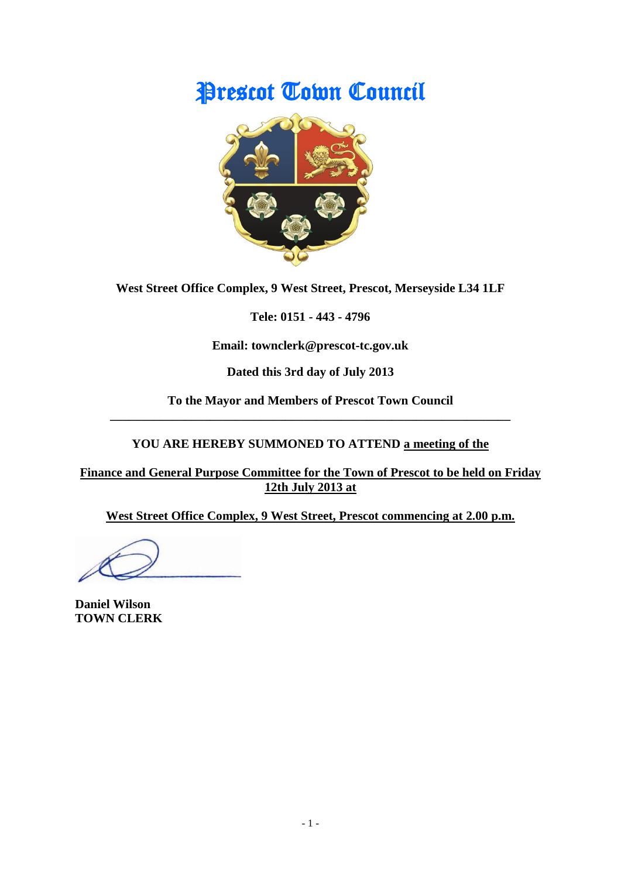# Prescot Town Council



**West Street Office Complex, 9 West Street, Prescot, Merseyside L34 1LF**

**Tele: 0151 - 443 - 4796**

**Email: townclerk@prescot-tc.gov.uk**

**Dated this 3rd day of July 2013**

**To the Mayor and Members of Prescot Town Council \_\_\_\_\_\_\_\_\_\_\_\_\_\_\_\_\_\_\_\_\_\_\_\_\_\_\_\_\_\_\_\_\_\_\_\_\_\_\_\_\_\_\_\_\_\_\_\_\_\_\_\_\_\_\_\_\_\_\_\_\_\_\_\_**

# **YOU ARE HEREBY SUMMONED TO ATTEND a meeting of the**

**Finance and General Purpose Committee for the Town of Prescot to be held on Friday 12th July 2013 at**

**West Street Office Complex, 9 West Street, Prescot commencing at 2.00 p.m.**

**Daniel Wilson TOWN CLERK**